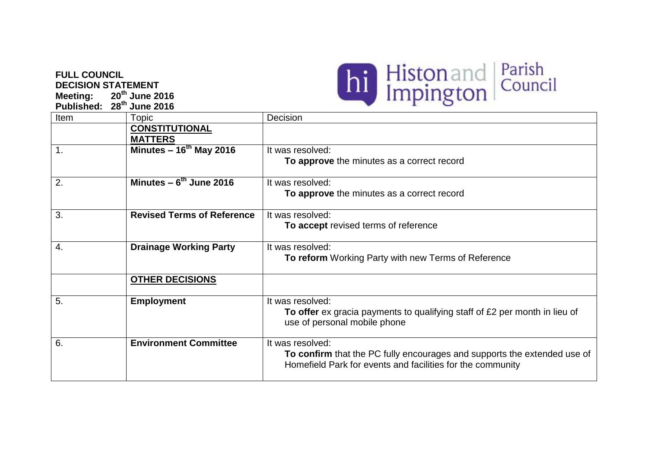## **FULL COUNCIL DECISION STATEMENT**<br>Meeting: 20<sup>th</sup> June 2 **Meeting: 20th June 2016**

**Published: 28th June 2016**



|     |                              | <b>IV IGIOIIII YYUINIIY LAHY WILLIIGW TUILIIG ULI NUIDI UI</b>                                                                         |
|-----|------------------------------|----------------------------------------------------------------------------------------------------------------------------------------|
|     | <b>OTHER DECISIONS</b>       |                                                                                                                                        |
| -5. | <b>Employment</b>            | It was resolved:                                                                                                                       |
|     |                              | To offer ex gracia payments to qualifying staff of £2 per month in lieu of<br>use of personal mobile phone                             |
| 6.  | <b>Environment Committee</b> | It was resolved:                                                                                                                       |
|     |                              | To confirm that the PC fully encourages and supports the extended use of<br>Homefield Park for events and facilities for the community |